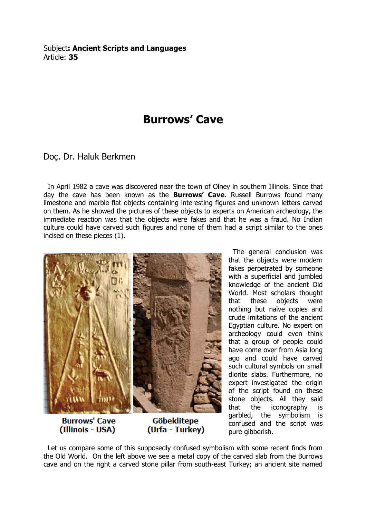Subject: Ancient Scripts and Languages Article: 35

## Burrows' Cave

Doç. Dr. Haluk Berkmen

 In April 1982 a cave was discovered near the town of Olney in southern Illinois. Since that day the cave has been known as the **Burrows' Cave**. Russell Burrows found many limestone and marble flat objects containing interesting figures and unknown letters carved on them. As he showed the pictures of these objects to experts on American archeology, the immediate reaction was that the objects were fakes and that he was a fraud. No Indian culture could have carved such figures and none of them had a script similar to the ones incised on these pieces (1).



**Burrows' Cave** (Illinois - USA)

**Göbeklitepe** (Urfa - Turkey)

 The general conclusion was that the objects were modern fakes perpetrated by someone with a superficial and jumbled knowledge of the ancient Old World. Most scholars thought that these objects were nothing but naïve copies and crude imitations of the ancient Egyptian culture. No expert on archeology could even think that a group of people could have come over from Asia long ago and could have carved such cultural symbols on small diorite slabs. Furthermore, no expert investigated the origin of the script found on these stone objects. All they said that the iconography is garbled, the symbolism is confused and the script was pure gibberish.

 Let us compare some of this supposedly confused symbolism with some recent finds from the Old World. On the left above we see a metal copy of the carved slab from the Burrows cave and on the right a carved stone pillar from south-east Turkey; an ancient site named